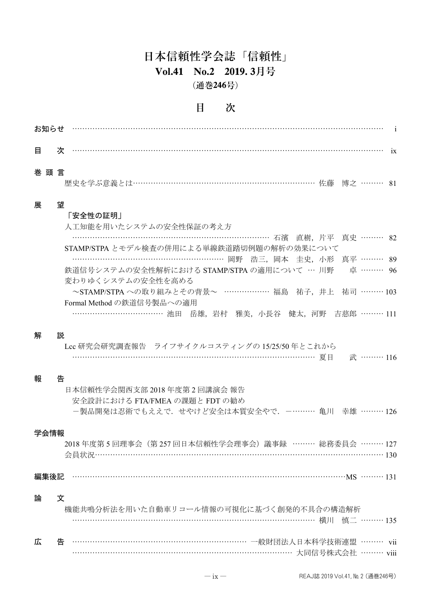# 日本信頼性学会誌「信頼性」 **Vol.41 No.2 2019. 3**月号 (通巻**246**号)

### 目 次

| 目    | 次 |                                                                                                                      |  |
|------|---|----------------------------------------------------------------------------------------------------------------------|--|
| 巻頭言  |   | 歴史を学ぶ意義とは…………………………………………………………………… 佐藤 博之 ……… 81                                                                     |  |
| 展    | 望 | 「安全性の証明」<br>人工知能を用いたシステムの安全性保証の考え方                                                                                   |  |
|      |   | ……………………………………………………………………… 石濱 直樹,片平 真史 ……… 82                                                                       |  |
|      |   | STAMP/STPAとモデル検査の併用による単線鉄道踏切例題の解析の効果について<br>…………………………………………………… 岡野 浩三, 岡本 圭史, 小形 真平 ……… 89                          |  |
|      |   | 鉄道信号システムの安全性解析における STAMP/STPA の適用について … 川野 真 ……… 96<br>変わりゆくシステムの安全性を高める                                             |  |
|      |   | ~STAMP/STPAへの取り組みとその背景~ ……………… 福島 祐子, 井上 祐司 ……… 103<br>Formal Method の鉄道信号製品への適用                                     |  |
|      |   | ………………………………… 池田 岳雄, 岩村 雅美, 小長谷 健太, 河野 吉慈郎 ……… 111                                                                   |  |
| 解    | 説 | Lcc 研究会研究調査報告 ライフサイクルコスティングの 15/25/50 年とこれから<br>…………………………………………………………………………… 夏目 - 武 ……… 116                         |  |
| 報    | 告 | 日本信頼性学会関西支部 2018 年度第 2 回講演会 報告<br>安全設計における FTA/FMEA の課題と FDT の勧め<br>一製品開発は忍術でもええで. せやけど安全は本質安全やで. -……… 亀川 幸雄 ……… 126 |  |
| 学会情報 |   | 2018年度第5回理事会(第257回日本信頼性学会理事会)議事録 ……… 総務委員会 ……… 127                                                                   |  |
| 編集後記 |   |                                                                                                                      |  |
| 論    | 文 | 機能共鳴分析法を用いた自動車リコール情報の可視化に基づく創発的不具合の構造解析<br>………………………………………………………………………… 横川 慎二 ……… 135                                |  |
| 広    | 告 |                                                                                                                      |  |